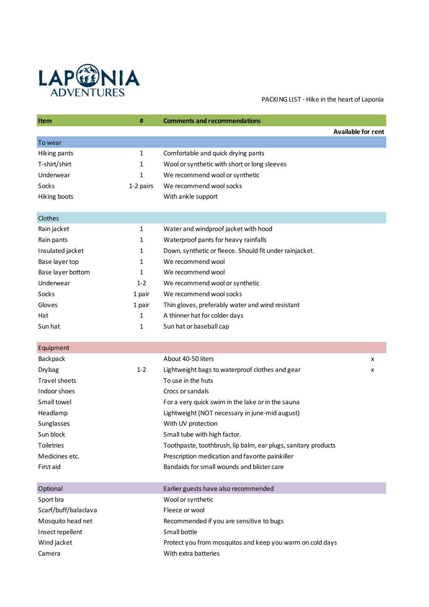

PACKING LIST - Hike in the heart of Laponia

| Item                 | #         | <b>Comments and recommendations</b>                            |
|----------------------|-----------|----------------------------------------------------------------|
|                      |           | <b>Available for rent</b>                                      |
| To wear              |           |                                                                |
| Hiking pants         | 1         | Comfortable and quick drying pants                             |
| T-shirt/shirt        | 1         | Wool or synthetic with short or long sleeves                   |
| Underwear            | 1         | We recommend wool or synthetic                                 |
| Socks                | 1-2 pairs | We recommend wool socks                                        |
| Hiking boots         |           | With ankle support                                             |
| Clothes              |           |                                                                |
| Rain jacket          | 1         | Water and windproof jacket with hood                           |
| Rain pants           | 1         | Waterproof pants for heavy rainfalls                           |
| Insulated jacket     | 1         | Down, synthetic or fleece. Should fit under rainjacket.        |
| Base layer top       | 1         | We recommend wool                                              |
| Base layer bottom    | 1         | We recommend wool                                              |
| Underwear            | $1 - 2$   | We recommend wool or synthetic                                 |
| Socks                | 1 pair    | We recommend wool socks                                        |
| Gloves               | 1 pair    | Thin gloves, preferably water and wind resistant               |
| Hat                  | 1         | A thinner hat for colder days                                  |
| Sun hat              | 1         | Sun hat or baseball cap                                        |
| Equipment            |           |                                                                |
| Backpack             |           | About 40-50 liters<br>x                                        |
| Drybag               | $1 - 2$   | Lightweight bags to waterproof clothes and gear<br>x           |
| <b>Travel sheets</b> |           | To use in the huts                                             |
| Indoor shoes         |           | Crocs or sandals                                               |
| Small towel          |           | For a very quick swim in the lake or in the sauna              |
| Headlamp             |           | Lightweight (NOT necessary in june-mid august)                 |
| Sunglasses           |           | With UV protection                                             |
| Sun block            |           | Small tube with high factor.                                   |
| <b>Toiletries</b>    |           | Toothpaste, toothbrush, lip balm, ear plugs, sanitary products |
| Medicines etc.       |           | Prescription medication and favorite painkiller                |
| First aid            |           | Bandaids for small wounds and blister care                     |
| Optional             |           | Earlier guests have also recommended                           |
| Sport bra            |           | Wool or synthetic                                              |
| Scarf/buff/balaclava |           | Fleece or wool                                                 |
| Mosquito head net    |           | Recommended if you are sensitive to bugs                       |
| Insect repellent     |           | Small bottle                                                   |
| Wind jacket          |           | Protect you from mosquitos and keep you warm on cold days      |
| Camera               |           | With extra batteries                                           |